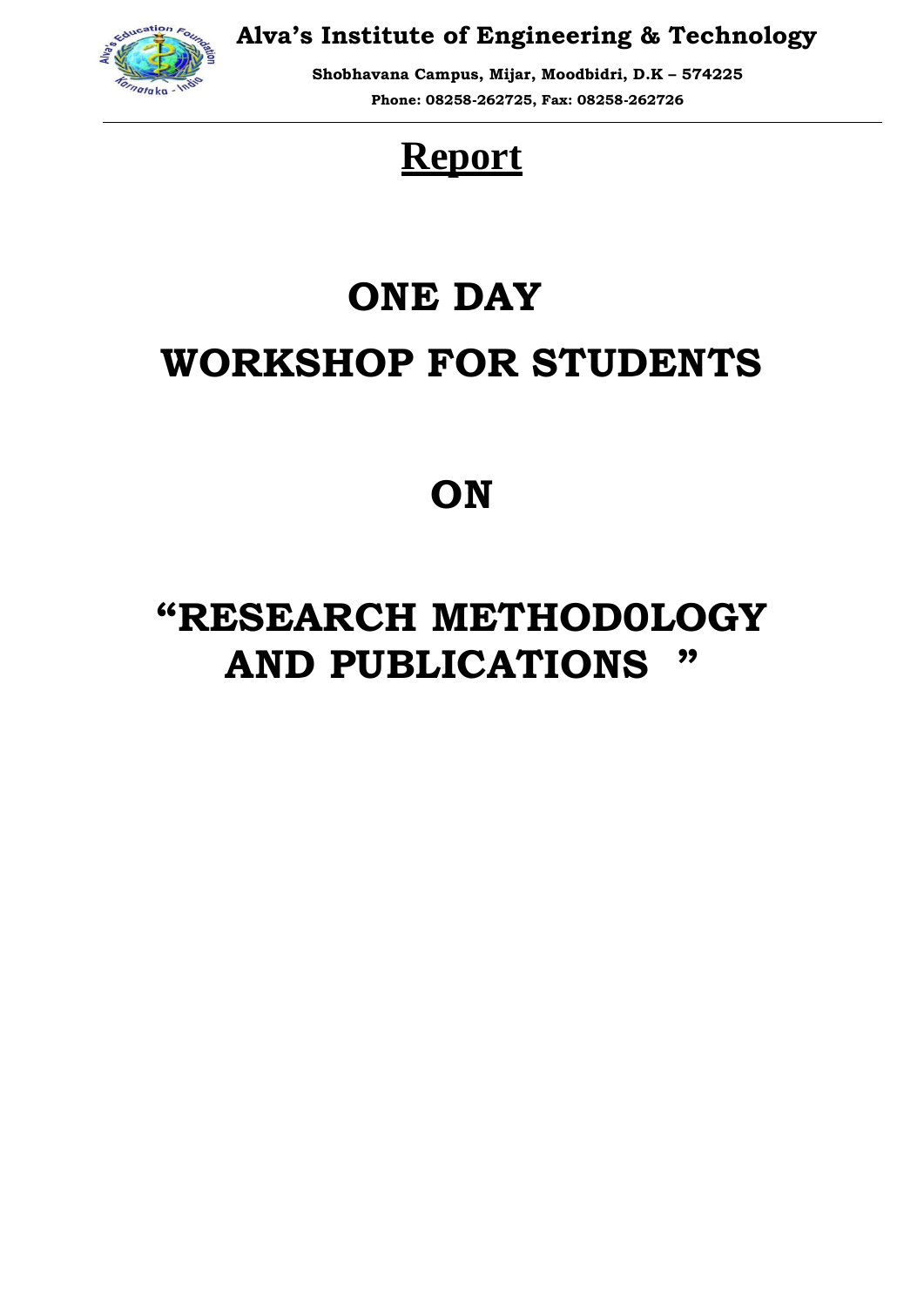

**Alva's Institute of Engineering & Technology**

**Shobhavana Campus, Mijar, Moodbidri, D.K – 574225 Phone: 08258-262725, Fax: 08258-262726**

## **Report**

# **ONE DAY WORKSHOP FOR STUDENTS**

### **ON**

## **"RESEARCH METHOD0LOGY AND PUBLICATIONS "**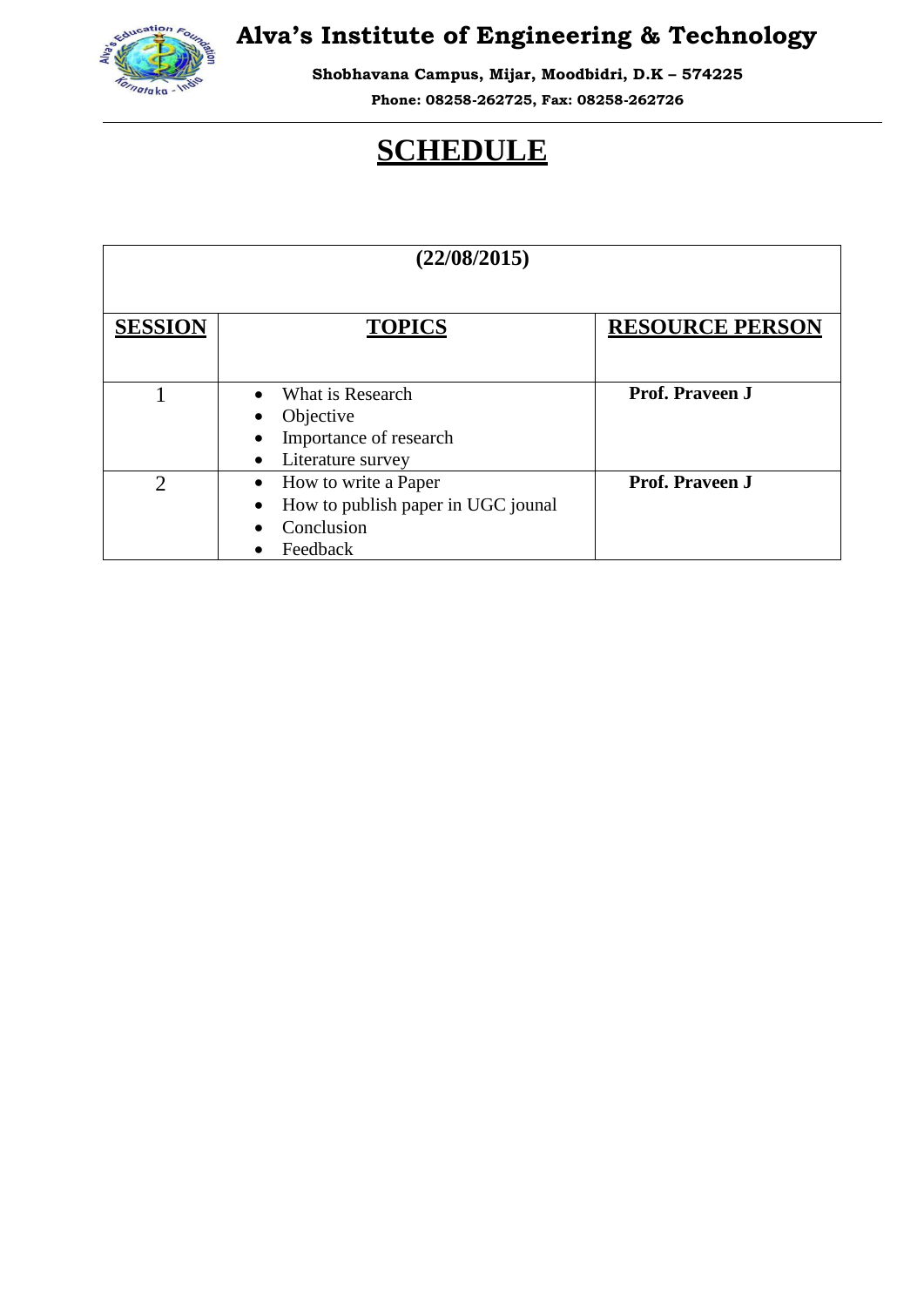

#### **Alva's Institute of Engineering & Technology**

**Shobhavana Campus, Mijar, Moodbidri, D.K – 574225**

**Phone: 08258-262725, Fax: 08258-262726**

#### **SCHEDULE**

| (22/08/2015)   |                                                                                      |                        |
|----------------|--------------------------------------------------------------------------------------|------------------------|
| <b>SESSION</b> | <b>TOPICS</b>                                                                        | <b>RESOURCE PERSON</b> |
|                | What is Research<br>Objective<br>Importance of research<br>Literature survey         | Prof. Praveen J        |
| っ              | How to write a Paper<br>How to publish paper in UGC jounal<br>Conclusion<br>Feedback | Prof. Praveen J        |